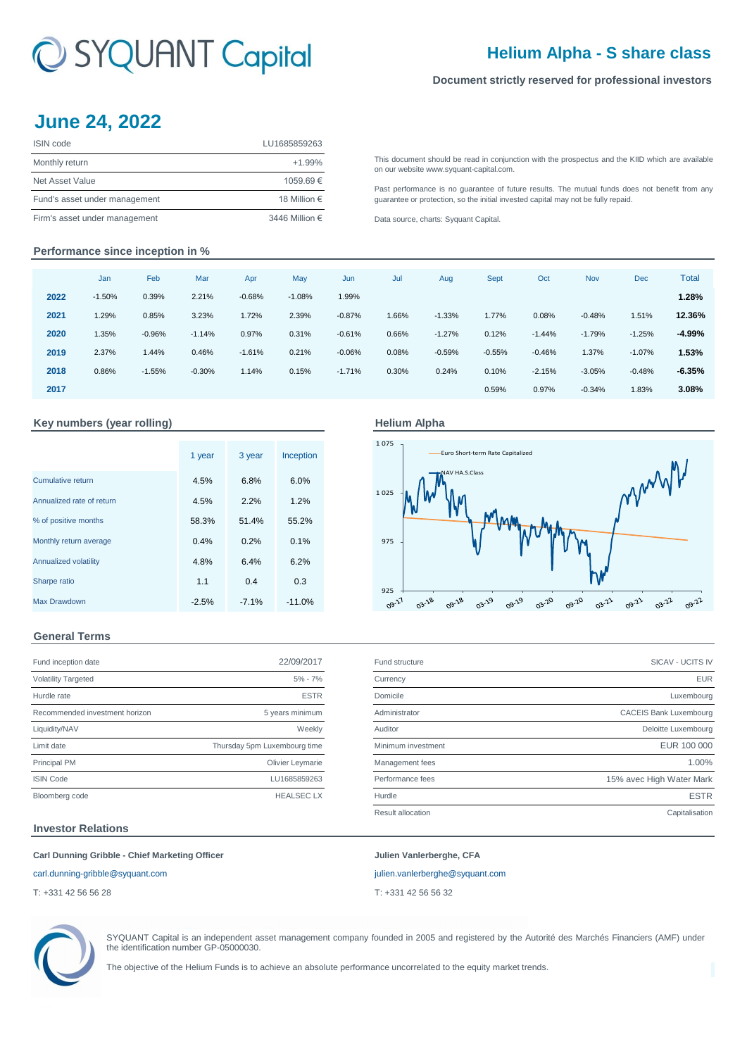# C SYQUANT Capital

# **Helium Alpha - S share class**

## **Document strictly reserved for professional investors**

# **June 24, 2022**

| ISIN code                     | LU1685859263   |
|-------------------------------|----------------|
| Monthly return                | $+1.99%$       |
| Net Asset Value               | 1059.69€       |
| Fund's asset under management | 18 Million €   |
| Firm's asset under management | 3446 Million € |

[This](http://www.syquant-capital.fr/publications-syquant-capital.php) [document](http://www.syquant-capital.fr/publications-syquant-capital.php) [should](http://www.syquant-capital.fr/publications-syquant-capital.php) be read in [conjunction](http://www.syquant-capital.fr/publications-syquant-capital.php) with the prospectus and the KIID which are available [on our website](http://www.syquant-capital.fr/publications-syquant-capital.php) www.syquant-capital.com.

[Past](http://www.syquant-capital.fr/publications-syquant-capital.php) [performance](http://www.syquant-capital.fr/publications-syquant-capital.php) is no [guarantee](http://www.syquant-capital.fr/publications-syquant-capital.php) of future results. The mutual funds does not benefit from any [guarantee or p](http://www.syquant-capital.fr/publications-syquant-capital.php)rotection, so the initial invested capital may not be fully repaid.

[Data source, c](http://www.syquant-capital.fr/publications-syquant-capital.php)harts: Syquant Capital.

## **Performance since inception in %**

|      | Jan      | Feb      | Mar      | Apr      | May      | Jun      | Jul   | Aug      | <b>Sept</b> | Oct      | Nov      | <b>Dec</b> | <b>Total</b> |
|------|----------|----------|----------|----------|----------|----------|-------|----------|-------------|----------|----------|------------|--------------|
| 2022 | $-1.50%$ | 0.39%    | 2.21%    | $-0.68%$ | $-1.08%$ | 1.99%    |       |          |             |          |          |            | 1.28%        |
| 2021 | 1.29%    | 0.85%    | 3.23%    | 1.72%    | 2.39%    | $-0.87%$ | 1.66% | $-1.33%$ | 1.77%       | 0.08%    | $-0.48%$ | 1.51%      | 12.36%       |
| 2020 | 1.35%    | $-0.96%$ | $-1.14%$ | 0.97%    | 0.31%    | $-0.61%$ | 0.66% | $-1.27%$ | 0.12%       | $-1.44%$ | $-1.79%$ | $-1.25%$   | -4.99%       |
| 2019 | 2.37%    | 1.44%    | 0.46%    | $-1.61%$ | 0.21%    | $-0.06%$ | 0.08% | $-0.59%$ | $-0.55%$    | $-0.46%$ | 1.37%    | $-1.07%$   | 1.53%        |
| 2018 | 0.86%    | $-1.55%$ | $-0.30%$ | 1.14%    | 0.15%    | $-1.71%$ | 0.30% | 0.24%    | 0.10%       | $-2.15%$ | $-3.05%$ | $-0.48%$   | $-6.35%$     |
| 2017 |          |          |          |          |          |          |       |          | 0.59%       | 0.97%    | $-0.34%$ | 1.83%      | 3.08%        |

## Key numbers (year rolling) **Accord Accord Alpha** Helium Alpha

|                           | 1 year  | 3 year  | Inception |
|---------------------------|---------|---------|-----------|
| <b>Cumulative return</b>  | 4.5%    | 6.8%    | 6.0%      |
| Annualized rate of return | 4.5%    | 2.2%    | 1.2%      |
| % of positive months      | 58.3%   | 51.4%   | 55.2%     |
| Monthly return average    | 0.4%    | 0.2%    | 0.1%      |
| Annualized volatility     | 4.8%    | 6.4%    | 6.2%      |
| Sharpe ratio              | 1.1     | 0.4     | 0.3       |
| Max Drawdown              | $-2.5%$ | $-7.1%$ | $-11.0%$  |





## **General Terms**

| Fund inception date            | 22/09/2017                   |
|--------------------------------|------------------------------|
| <b>Volatility Targeted</b>     | $5% - 7%$                    |
| Hurdle rate                    | <b>ESTR</b>                  |
| Recommended investment horizon | 5 years minimum              |
| Liquidity/NAV                  | Weekly                       |
| Limit date                     | Thursday 5pm Luxembourg time |
| <b>Principal PM</b>            | Olivier Leymarie             |
| <b>ISIN Code</b>               | LU1685859263                 |
| Bloomberg code                 | <b>HEALSECLX</b>             |

| Fund inception date            | 22/09/2017                   | Fund structure     | SICAV - UCITS IV              |
|--------------------------------|------------------------------|--------------------|-------------------------------|
| <b>Volatility Targeted</b>     | $5\% - 7\%$                  | Currency           | <b>EUR</b>                    |
| Hurdle rate                    | <b>ESTR</b>                  | Domicile           | Luxembourg                    |
| Recommended investment horizon | 5 years minimum              | Administrator      | <b>CACEIS Bank Luxembourg</b> |
| Liquidity/NAV                  | Weekly                       | Auditor            | Deloitte Luxembourg           |
| Limit date                     | Thursday 5pm Luxembourg time | Minimum investment | EUR 100 000                   |
| Principal PM                   | Olivier Leymarie             | Management fees    | 1.00%                         |
| <b>ISIN Code</b>               | LU1685859263                 | Performance fees   | 15% avec High Water Mark      |
| Bloomberg code                 | <b>HEALSEC LX</b>            | Hurdle             | <b>ESTR</b>                   |
|                                |                              | Result allocation  | Capitalisation                |
|                                |                              |                    |                               |

## **Investor Relations**

### **Carl Dunning Gribble - Chief Marketing Officer Julien Vanlerberghe, CFA**

#### [carl.dunning-gribble@syquant.com](mailto:carl.dunning-gribble@syquant.com) [julien.vanlerberghe@syquant.com](mailto:julien.vanlerberghe@syquant.com)

T: +331 42 56 56 28 T: +331 42 56 56 32



SYQUANT Capital is an independent asset management company founded in 2005 and registered by the Autorité des Marchés Financiers (AMF) under the identification number GP-05000030.

The objective of the Helium Funds is to achieve an absolute performance uncorrelated to the equity market trends.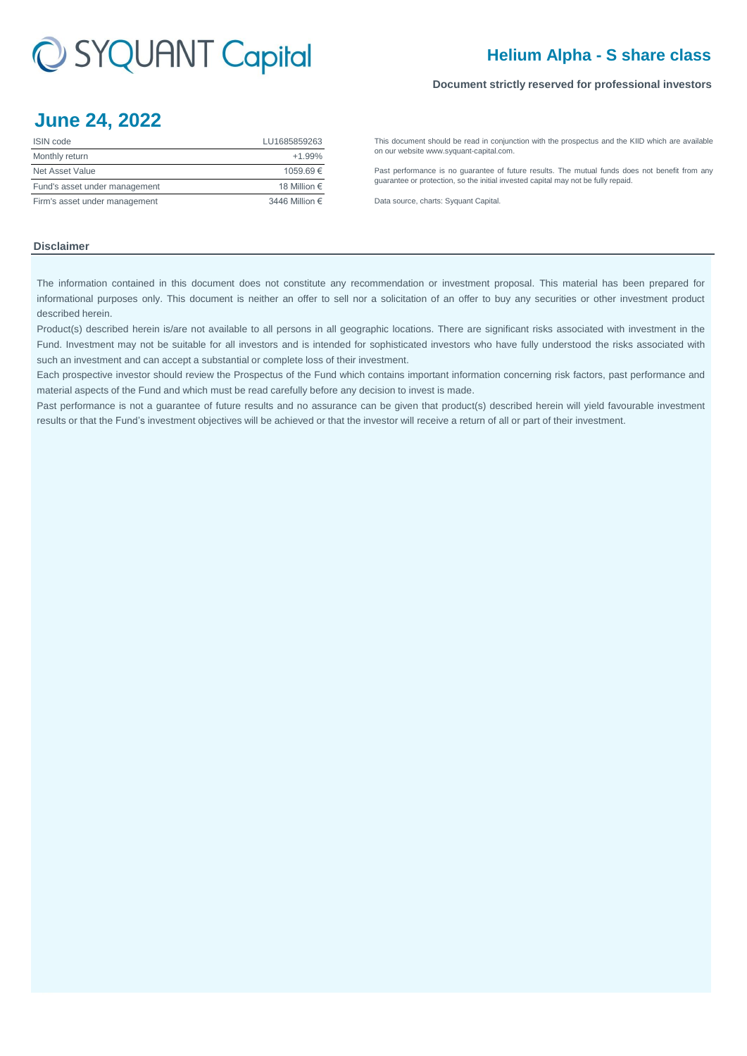# C SYQUANT Capital

# **Helium Alpha - S share class**

### **Document strictly reserved for professional investors**

# **June 24, 2022**

| <b>ISIN</b> code              | LU1685859263   |
|-------------------------------|----------------|
| Monthly return                | $+1.99%$       |
| Net Asset Value               | 1059.69€       |
| Fund's asset under management | 18 Million €   |
| Firm's asset under management | 3446 Million € |

[This](http://www.syquant-capital.fr/publications-syquant-capital.php) [document](http://www.syquant-capital.fr/publications-syquant-capital.php) [should](http://www.syquant-capital.fr/publications-syquant-capital.php) be read in [conjunction](http://www.syquant-capital.fr/publications-syquant-capital.php) with the prospectus and the KIID which are available [on our website](http://www.syquant-capital.fr/publications-syquant-capital.php) www.syquant-capital.com.

[Past](http://www.syquant-capital.fr/publications-syquant-capital.php) [performance](http://www.syquant-capital.fr/publications-syquant-capital.php) is no [guarantee](http://www.syquant-capital.fr/publications-syquant-capital.php) of future results. The mutual funds does not benefit from any [guarantee or p](http://www.syquant-capital.fr/publications-syquant-capital.php)rotection, so the initial invested capital may not be fully repaid.

[Data source, c](http://www.syquant-capital.fr/publications-syquant-capital.php)harts: Syquant Capital.

## **Disclaimer**

The information contained in this document does not constitute any recommendation or investment proposal. This material has been prepared for informational purposes only. This document is neither an offer to sell nor a solicitation of an offer to buy any securities or other investment product described herein.

Product(s) described herein is/are not available to all persons in all geographic locations. There are significant risks associated with investment in the Fund. Investment may not be suitable for all investors and is intended for sophisticated investors who have fully understood the risks associated with such an investment and can accept a substantial or complete loss of their investment.

Each prospective investor should review the Prospectus of the Fund which contains important information concerning risk factors, past performance and material aspects of the Fund and which must be read carefully before any decision to invest is made.

Past performance is not a guarantee of future results and no assurance can be given that product(s) described herein will yield favourable investment results or that the Fund's investment objectives will be achieved or that the investor will receive a return of all or part of their investment.